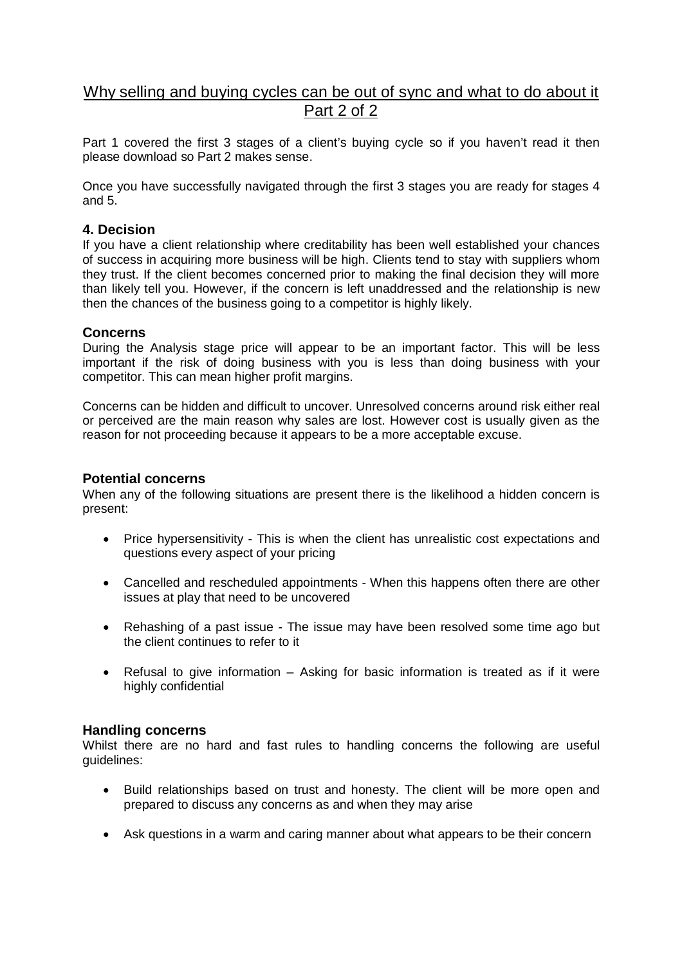# Why selling and buying cycles can be out of sync and what to do about it Part 2 of 2

Part 1 covered the first 3 stages of a client's buying cycle so if you haven't read it then please download so Part 2 makes sense.

Once you have successfully navigated through the first 3 stages you are ready for stages 4 and 5.

## **4. Decision**

If you have a client relationship where creditability has been well established your chances of success in acquiring more business will be high. Clients tend to stay with suppliers whom they trust. If the client becomes concerned prior to making the final decision they will more than likely tell you. However, if the concern is left unaddressed and the relationship is new then the chances of the business going to a competitor is highly likely.

## **Concerns**

During the Analysis stage price will appear to be an important factor. This will be less important if the risk of doing business with you is less than doing business with your competitor. This can mean higher profit margins.

Concerns can be hidden and difficult to uncover. Unresolved concerns around risk either real or perceived are the main reason why sales are lost. However cost is usually given as the reason for not proceeding because it appears to be a more acceptable excuse.

## **Potential concerns**

When any of the following situations are present there is the likelihood a hidden concern is present:

- Price hypersensitivity This is when the client has unrealistic cost expectations and questions every aspect of your pricing
- Cancelled and rescheduled appointments When this happens often there are other issues at play that need to be uncovered
- Rehashing of a past issue The issue may have been resolved some time ago but the client continues to refer to it
- Refusal to give information Asking for basic information is treated as if it were highly confidential

### **Handling concerns**

Whilst there are no hard and fast rules to handling concerns the following are useful guidelines:

- Build relationships based on trust and honesty. The client will be more open and prepared to discuss any concerns as and when they may arise
- Ask questions in a warm and caring manner about what appears to be their concern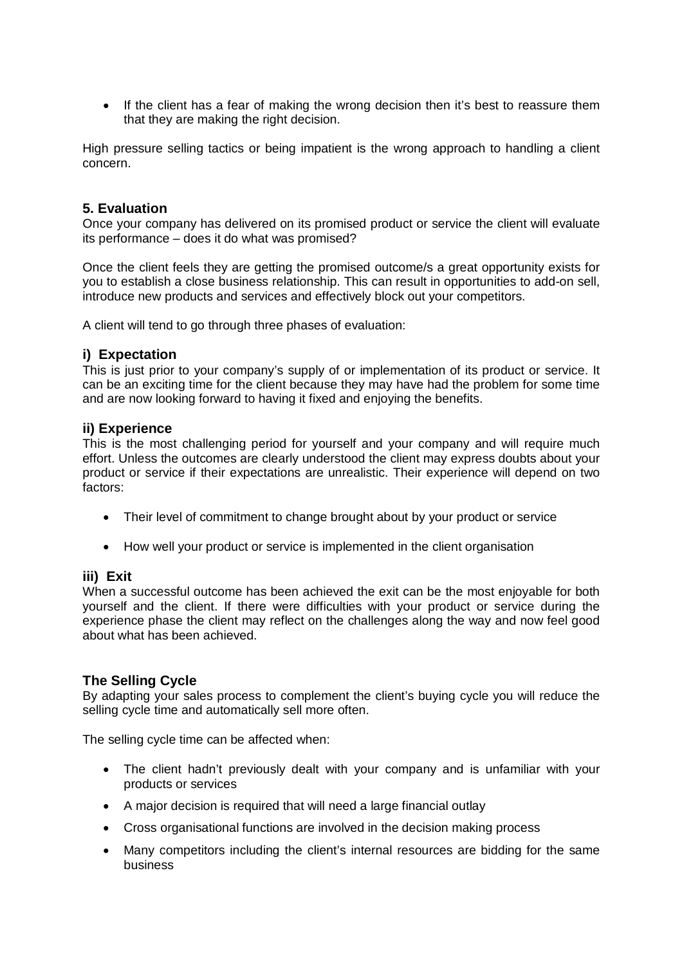• If the client has a fear of making the wrong decision then it's best to reassure them that they are making the right decision.

High pressure selling tactics or being impatient is the wrong approach to handling a client concern.

## **5. Evaluation**

Once your company has delivered on its promised product or service the client will evaluate its performance – does it do what was promised?

Once the client feels they are getting the promised outcome/s a great opportunity exists for you to establish a close business relationship. This can result in opportunities to add-on sell, introduce new products and services and effectively block out your competitors.

A client will tend to go through three phases of evaluation:

## **i) Expectation**

This is just prior to your company's supply of or implementation of its product or service. It can be an exciting time for the client because they may have had the problem for some time and are now looking forward to having it fixed and enjoying the benefits.

### **ii) Experience**

This is the most challenging period for yourself and your company and will require much effort. Unless the outcomes are clearly understood the client may express doubts about your product or service if their expectations are unrealistic. Their experience will depend on two factors:

- Their level of commitment to change brought about by your product or service
- How well your product or service is implemented in the client organisation

### **iii) Exit**

When a successful outcome has been achieved the exit can be the most enjoyable for both yourself and the client. If there were difficulties with your product or service during the experience phase the client may reflect on the challenges along the way and now feel good about what has been achieved.

### **The Selling Cycle**

By adapting your sales process to complement the client's buying cycle you will reduce the selling cycle time and automatically sell more often.

The selling cycle time can be affected when:

- The client hadn't previously dealt with your company and is unfamiliar with your products or services
- A major decision is required that will need a large financial outlay
- Cross organisational functions are involved in the decision making process
- Many competitors including the client's internal resources are bidding for the same business